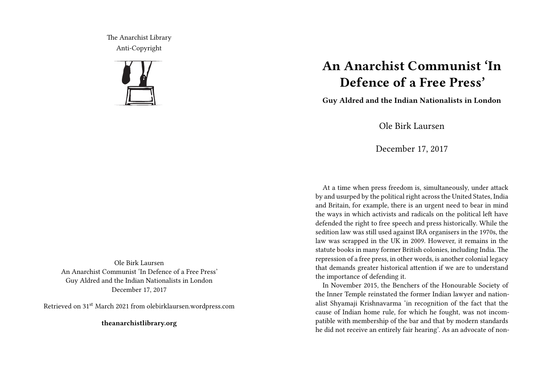The Anarchist Library Anti-Copyright



Ole Birk Laursen An Anarchist Communist 'In Defence of a Free Press' Guy Aldred and the Indian Nationalists in London December 17, 2017

Retrieved on 31st March 2021 from olebirklaursen.wordpress.com

**theanarchistlibrary.org**

## **An Anarchist Communist 'In Defence of a Free Press'**

**Guy Aldred and the Indian Nationalists in London**

Ole Birk Laursen

December 17, 2017

At a time when press freedom is, simultaneously, under attack by and usurped by the political right across the United States, India and Britain, for example, there is an urgent need to bear in mind the ways in which activists and radicals on the political left have defended the right to free speech and press historically. While the sedition law was still used against IRA organisers in the 1970s, the law was scrapped in the UK in 2009. However, it remains in the statute books in many former British colonies, including India. The repression of a free press, in other words, is another colonial legacy that demands greater historical attention if we are to understand the importance of defending it.

In November 2015, the Benchers of the Honourable Society of the Inner Temple reinstated the former Indian lawyer and nationalist Shyamaji Krishnavarma 'in recognition of the fact that the cause of Indian home rule, for which he fought, was not incompatible with membership of the bar and that by modern standards he did not receive an entirely fair hearing'. As an advocate of non-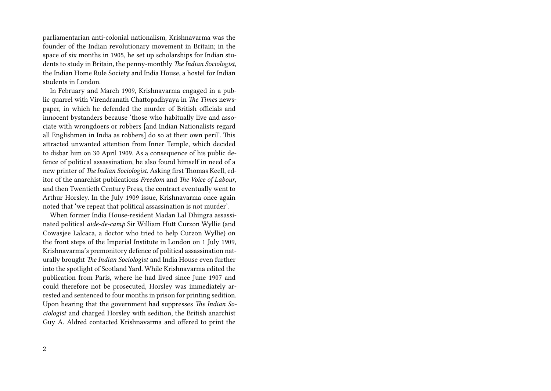parliamentarian anti-colonial nationalism, Krishnavarma was the founder of the Indian revolutionary movement in Britain; in the space of six months in 1905, he set up scholarships for Indian students to study in Britain, the penny-monthly *The Indian Sociologist*, the Indian Home Rule Society and India House, a hostel for Indian students in London.

In February and March 1909, Krishnavarma engaged in a public quarrel with Virendranath Chattopadhyaya in *The Times* newspaper, in which he defended the murder of British officials and innocent bystanders because 'those who habitually live and associate with wrongdoers or robbers [and Indian Nationalists regard all Englishmen in India as robbers] do so at their own peril'. This attracted unwanted attention from Inner Temple, which decided to disbar him on 30 April 1909. As a consequence of his public defence of political assassination, he also found himself in need of a new printer of *The Indian Sociologist*. Asking first Thomas Keell, editor of the anarchist publications *Freedom* and *The Voice of Labour*, and then Twentieth Century Press, the contract eventually went to Arthur Horsley. In the July 1909 issue, Krishnavarma once again noted that 'we repeat that political assassination is not murder'.

When former India House-resident Madan Lal Dhingra assassinated political *aide-de-camp* Sir William Hutt Curzon Wyllie (and Cowasjee Lalcaca, a doctor who tried to help Curzon Wyllie) on the front steps of the Imperial Institute in London on 1 July 1909, Krishnavarma's premonitory defence of political assassination naturally brought *The Indian Sociologist* and India House even further into the spotlight of Scotland Yard. While Krishnavarma edited the publication from Paris, where he had lived since June 1907 and could therefore not be prosecuted, Horsley was immediately arrested and sentenced to four months in prison for printing sedition. Upon hearing that the government had suppresses *The Indian Sociologist* and charged Horsley with sedition, the British anarchist Guy A. Aldred contacted Krishnavarma and offered to print the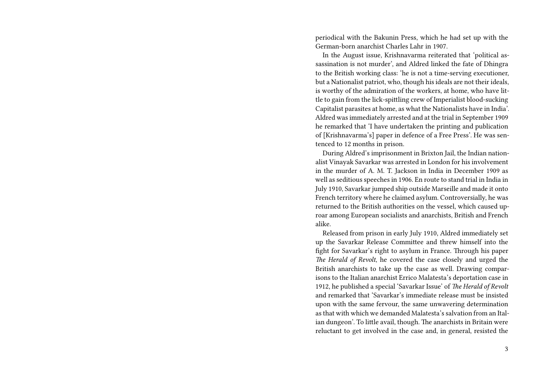periodical with the Bakunin Press, which he had set up with the German-born anarchist Charles Lahr in 1907.

In the August issue, Krishnavarma reiterated that 'political assassination is not murder', and Aldred linked the fate of Dhingra to the British working class: 'he is not a time-serving executioner, but a Nationalist patriot, who, though his ideals are not their ideals, is worthy of the admiration of the workers, at home, who have little to gain from the lick-spittling crew of Imperialist blood-sucking Capitalist parasites at home, as what the Nationalists have in India'. Aldred was immediately arrested and at the trial in September 1909 he remarked that 'I have undertaken the printing and publication of [Krishnavarma's] paper in defence of a Free Press'. He was sentenced to 12 months in prison.

During Aldred's imprisonment in Brixton Jail, the Indian nationalist Vinayak Savarkar was arrested in London for his involvement in the murder of A. M. T. Jackson in India in December 1909 as well as seditious speeches in 1906. En route to stand trial in India in July 1910, Savarkar jumped ship outside Marseille and made it onto French territory where he claimed asylum. Controversially, he was returned to the British authorities on the vessel, which caused uproar among European socialists and anarchists, British and French alike.

Released from prison in early July 1910, Aldred immediately set up the Savarkar Release Committee and threw himself into the fight for Savarkar's right to asylum in France. Through his paper *The Herald of Revolt*, he covered the case closely and urged the British anarchists to take up the case as well. Drawing comparisons to the Italian anarchist Errico Malatesta's deportation case in 1912, he published a special 'Savarkar Issue' of *The Herald of Revolt* and remarked that 'Savarkar's immediate release must be insisted upon with the same fervour, the same unwavering determination as that with which we demanded Malatesta's salvation from an Italian dungeon'. To little avail, though. The anarchists in Britain were reluctant to get involved in the case and, in general, resisted the